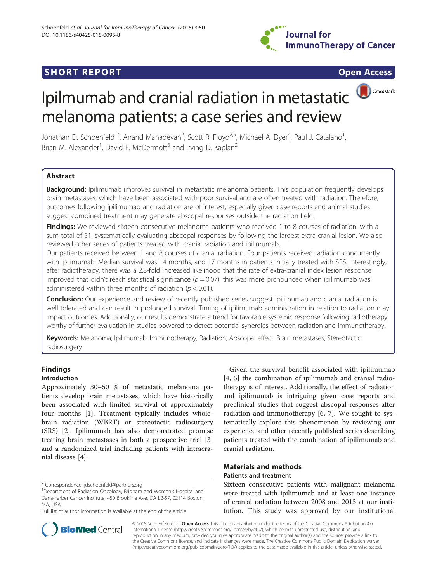

## **SHORT REPORT SHORT CONSUMING THE CONSUMING THE CONSUMING THE CONSUMING THE CONSUMING THE CONSUMING THE CONSUMING THE CONSUMING THE CONSUMING THE CONSUMING THE CONSUMING THE CONSUMING THE CONSUMING THE CONSUMING THE CO**

CrossMark

# Ipilmumab and cranial radiation in metastatic melanoma patients: a case series and review

Jonathan D. Schoenfeld<sup>1\*</sup>, Anand Mahadevan<sup>2</sup>, Scott R. Floyd<sup>2,5</sup>, Michael A. Dyer<sup>4</sup>, Paul J. Catalano<sup>1</sup> , Brian M. Alexander<sup>1</sup>, David F. McDermott<sup>3</sup> and Irving D. Kaplan<sup>2</sup>

## Abstract

Background: Ipilimumab improves survival in metastatic melanoma patients. This population frequently develops brain metastases, which have been associated with poor survival and are often treated with radiation. Therefore, outcomes following ipilimumab and radiation are of interest, especially given case reports and animal studies suggest combined treatment may generate abscopal responses outside the radiation field.

Findings: We reviewed sixteen consecutive melanoma patients who received 1 to 8 courses of radiation, with a sum total of 51, systematically evaluating abscopal responses by following the largest extra-cranial lesion. We also reviewed other series of patients treated with cranial radiation and ipilimumab.

Our patients received between 1 and 8 courses of cranial radiation. Four patients received radiation concurrently with ipilimumab. Median survival was 14 months, and 17 months in patients initially treated with SRS. Interestingly, after radiotherapy, there was a 2.8-fold increased likelihood that the rate of extra-cranial index lesion response improved that didn't reach statistical significance ( $p = 0.07$ ); this was more pronounced when ipilimumab was administered within three months of radiation ( $p < 0.01$ ).

**Conclusion:** Our experience and review of recently published series suggest ipilimumab and cranial radiation is well tolerated and can result in prolonged survival. Timing of ipilimumab administration in relation to radiation may impact outcomes. Additionally, our results demonstrate a trend for favorable systemic response following radiotherapy worthy of further evaluation in studies powered to detect potential synergies between radiation and immunotherapy.

Keywords: Melanoma, Ipilimumab, Immunotherapy, Radiation, Abscopal effect, Brain metastases, Stereotactic radiosurgery

## Findings

## Introduction

Approximately 30–50 % of metastatic melanoma patients develop brain metastases, which have historically been associated with limited survival of approximately four months [\[1](#page-5-0)]. Treatment typically includes wholebrain radiation (WBRT) or stereotactic radiosurgery (SRS) [[2\]](#page-5-0). Ipilimumab has also demonstrated promise treating brain metastases in both a prospective trial [\[3](#page-5-0)] and a randomized trial including patients with intracranial disease [\[4](#page-5-0)].

\* Correspondence: [jdschoenfeld@partners.org](mailto:jdschoenfeld@partners.org) <sup>1</sup>

Full list of author information is available at the end of the article



## Materials and methods Patients and treatment

Sixteen consecutive patients with malignant melanoma were treated with ipilimumab and at least one instance of cranial radiation between 2008 and 2013 at our institution. This study was approved by our institutional



© 2015 Schoenfeld et al. Open Access This article is distributed under the terms of the Creative Commons Attribution 4.0 International License [\(http://creativecommons.org/licenses/by/4.0/](http://creativecommons.org/licenses/by/4.0/)), which permits unrestricted use, distribution, and reproduction in any medium, provided you give appropriate credit to the original author(s) and the source, provide a link to the Creative Commons license, and indicate if changes were made. The Creative Commons Public Domain Dedication waiver [\(http://creativecommons.org/publicdomain/zero/1.0/](http://creativecommons.org/publicdomain/zero/1.0/)) applies to the data made available in this article, unless otherwise stated.

<sup>&</sup>lt;sup>1</sup>Department of Radiation Oncology, Brigham and Women's Hospital and Dana-Farber Cancer Institute, 450 Brookline Ave, DA L2-57, 02114 Boston, MA, USA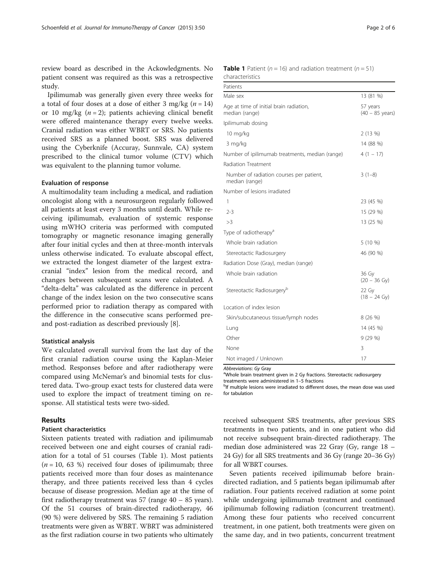<span id="page-1-0"></span>review board as described in the Ackowledgments. No patient consent was required as this was a retrospective study.

Ipilimumab was generally given every three weeks for a total of four doses at a dose of either 3 mg/kg  $(n = 14)$ or 10 mg/kg  $(n = 2)$ ; patients achieving clinical benefit were offered maintenance therapy every twelve weeks. Cranial radiation was either WBRT or SRS. No patients received SRS as a planned boost. SRS was delivered using the Cyberknife (Accuray, Sunnvale, CA) system prescribed to the clinical tumor volume (CTV) which was equivalent to the planning tumor volume.

### Evaluation of response

A multimodality team including a medical, and radiation oncologist along with a neurosurgeon regularly followed all patients at least every 3 months until death. While receiving ipilimumab, evaluation of systemic response using mWHO criteria was performed with computed tomography or magnetic resonance imaging generally after four initial cycles and then at three-month intervals unless otherwise indicated. To evaluate abscopal effect, we extracted the longest diameter of the largest extracranial "index" lesion from the medical record, and changes between subsequent scans were calculated. A "delta-delta" was calculated as the difference in percent change of the index lesion on the two consecutive scans performed prior to radiation therapy as compared with the difference in the consecutive scans performed preand post-radiation as described previously [\[8](#page-5-0)].

### Statistical analysis

We calculated overall survival from the last day of the first cranial radiation course using the Kaplan-Meier method. Responses before and after radiotherapy were compared using McNemar's and binomial tests for clustered data. Two-group exact tests for clustered data were used to explore the impact of treatment timing on response. All statistical tests were two-sided.

## Results

#### Patient characteristics

Sixteen patients treated with radiation and ipilimumab received between one and eight courses of cranial radiation for a total of 51 courses (Table 1). Most patients  $(n = 10, 63, 8)$  received four doses of ipilimumab; three patients received more than four doses as maintenance therapy, and three patients received less than 4 cycles because of disease progression. Median age at the time of first radiotherapy treatment was 57 (range 40 – 85 years). Of the 51 courses of brain-directed radiotherapy, 46 (90 %) were delivered by SRS. The remaining 5 radiation treatments were given as WBRT. WBRT was administered as the first radiation course in two patients who ultimately

| <b>Table 1</b> Patient ( $n = 16$ ) and radiation treatment ( $n = 51$ ) |  |  |
|--------------------------------------------------------------------------|--|--|
| characteristics                                                          |  |  |

| Patients                                                   |                                       |
|------------------------------------------------------------|---------------------------------------|
| Male sex                                                   | 13 (81 %)                             |
| Age at time of initial brain radiation,<br>median (range)  | 57 years<br>$(40 - 85 \text{ years})$ |
| Ipilimumab dosing                                          |                                       |
| 10 mg/kg                                                   | 2(13%)                                |
| 3 mg/kg                                                    | 14 (88 %)                             |
| Number of ipilimumab treatments, median (range)            | $4(1 - 17)$                           |
| <b>Radiation Treatment</b>                                 |                                       |
| Number of radiation courses per patient,<br>median (range) | $3(1-8)$                              |
| Number of lesions irradiated                               |                                       |
| 1                                                          | 23 (45 %)                             |
| $2 - 3$                                                    | 15 (29 %)                             |
| >3                                                         | 13 (25 %)                             |
| Type of radiotherapy <sup>a</sup>                          |                                       |
| Whole brain radiation                                      | 5 (10 %)                              |
| Stereotactic Radiosurgery                                  | 46 (90 %)                             |
| Radiation Dose (Gray), median (range)                      |                                       |
| Whole brain radiation                                      | 36 Gy<br>$(20 - 36 \text{ Gy})$       |
| Stereotactic Radiosurgery <sup>b</sup>                     | 22 Gy<br>$(18 - 24 \text{ Gy})$       |
| Location of index lesion                                   |                                       |
| Skin/subcutaneous tissue/lymph nodes                       | 8 (26 %)                              |
| Lung                                                       | 14 (45 %)                             |
| Other                                                      | 9(29%)                                |
| None                                                       | 3                                     |
| Not imaged / Unknown                                       | 17                                    |

Abbreviations: Gy Gray

<sup>a</sup>Whole brain treatment given in 2 Gy fractions. Stereotactic radiosurgery treatments were administered in 1–5 fractions <sup>b</sup>

<sup>b</sup>If multiple lesions were irradiated to different doses, the mean dose was used for tabulation

received subsequent SRS treatments, after previous SRS treatments in two patients, and in one patient who did not receive subsequent brain-directed radiotherapy. The median dose administered was 22 Gray (Gy, range 18 – 24 Gy) for all SRS treatments and 36 Gy (range 20–36 Gy) for all WBRT courses.

Seven patients received ipilimumab before braindirected radiation, and 5 patients began ipilimumab after radiation. Four patients received radiation at some point while undergoing ipilimumab treatment and continued ipilimumab following radiation (concurrent treatment). Among these four patients who received concurrent treatment, in one patient, both treatments were given on the same day, and in two patients, concurrent treatment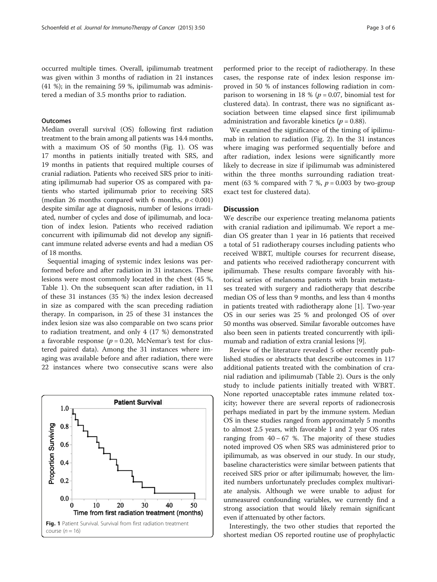occurred multiple times. Overall, ipilimumab treatment was given within 3 months of radiation in 21 instances (41 %); in the remaining 59 %, ipilimumab was administered a median of 3.5 months prior to radiation.

## **Outcomes**

Median overall survival (OS) following first radiation treatment to the brain among all patients was 14.4 months, with a maximum OS of 50 months (Fig. 1). OS was 17 months in patients initially treated with SRS, and 19 months in patients that required multiple courses of cranial radiation. Patients who received SRS prior to initiating ipilimumab had superior OS as compared with patients who started ipilimumab prior to receiving SRS (median 26 months compared with 6 months,  $p < 0.001$ ) despite similar age at diagnosis, number of lesions irradiated, number of cycles and dose of ipilimumab, and location of index lesion. Patients who received radiation concurrent with ipilimumab did not develop any significant immune related adverse events and had a median OS of 18 months.

Sequential imaging of systemic index lesions was performed before and after radiation in 31 instances. These lesions were most commonly located in the chest (45 %, Table [1\)](#page-1-0). On the subsequent scan after radiation, in 11 of these 31 instances (35 %) the index lesion decreased in size as compared with the scan preceding radiation therapy. In comparison, in 25 of these 31 instances the index lesion size was also comparable on two scans prior to radiation treatment, and only 4 (17 %) demonstrated a favorable response ( $p = 0.20$ , McNemar's test for clustered paired data). Among the 31 instances where imaging was available before and after radiation, there were 22 instances where two consecutive scans were also



performed prior to the receipt of radiotherapy. In these cases, the response rate of index lesion response improved in 50 % of instances following radiation in comparison to worsening in 18 % ( $p = 0.07$ , binomial test for clustered data). In contrast, there was no significant association between time elapsed since first ipilimumab administration and favorable kinetics ( $p = 0.88$ ).

We examined the significance of the timing of ipilimumab in relation to radiation (Fig. [2](#page-3-0)). In the 31 instances where imaging was performed sequentially before and after radiation, index lesions were significantly more likely to decrease in size if ipilimumab was administered within the three months surrounding radiation treatment (63 % compared with 7 %,  $p = 0.003$  by two-group exact test for clustered data).

## **Discussion**

We describe our experience treating melanoma patients with cranial radiation and ipilimumab. We report a median OS greater than 1 year in 16 patients that received a total of 51 radiotherapy courses including patients who received WBRT, multiple courses for recurrent disease, and patients who received radiotherapy concurrent with ipilimumab. These results compare favorably with historical series of melanoma patients with brain metastases treated with surgery and radiotherapy that describe median OS of less than 9 months, and less than 4 months in patients treated with radiotherapy alone [[1](#page-5-0)]. Two-year OS in our series was 25 % and prolonged OS of over 50 months was observed. Similar favorable outcomes have also been seen in patients treated concurrently with ipilimumab and radiation of extra cranial lesions [\[9](#page-5-0)].

Review of the literature revealed 5 other recently published studies or abstracts that describe outcomes in 117 additional patients treated with the combination of cranial radiation and ipilimumab (Table [2\)](#page-4-0). Ours is the only study to include patients initially treated with WBRT. None reported unacceptable rates immune related toxicity; however there are several reports of radionecrosis perhaps mediated in part by the immune system. Median OS in these studies ranged from approximately 5 months to almost 2.5 years, with favorable 1 and 2 year OS rates ranging from  $40 - 67$  %. The majority of these studies noted improved OS when SRS was administered prior to ipilimumab, as was observed in our study. In our study, baseline characteristics were similar between patients that received SRS prior or after ipilimumab; however, the limited numbers unfortunately precludes complex multivariate analysis. Although we were unable to adjust for unmeasured confounding variables, we currently find a strong association that would likely remain significant even if attenuated by other factors.

Interestingly, the two other studies that reported the shortest median OS reported routine use of prophylactic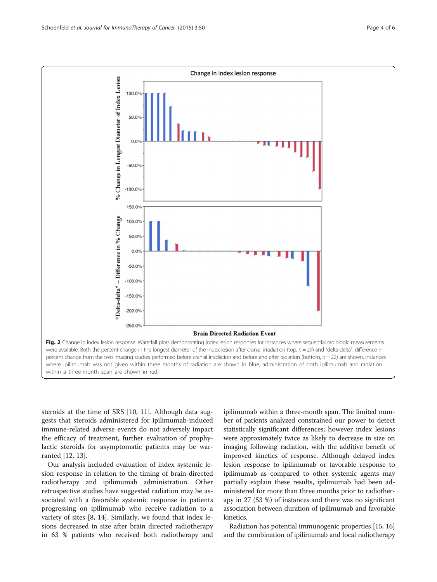<span id="page-3-0"></span>

steroids at the time of SRS [[10, 11](#page-5-0)]. Although data suggests that steroids administered for ipilimumab-induced immune-related adverse events do not adversely impact the efficacy of treatment, further evaluation of prophylactic steroids for asymptomatic patients may be warranted [\[12, 13\]](#page-5-0).

Our analysis included evaluation of index systemic lesion response in relation to the timing of brain-directed radiotherapy and ipilimumab administration. Other retrospective studies have suggested radiation may be associated with a favorable systemic response in patients progressing on ipilimumab who receive radiation to a variety of sites [[8, 14\]](#page-5-0). Similarly, we found that index lesions decreased in size after brain directed radiotherapy in 63 % patients who received both radiotherapy and

ipilimumab within a three-month span. The limited number of patients analyzed constrained our power to detect statistically significant differences; however index lesions were approximately twice as likely to decrease in size on imaging following radiation, with the additive benefit of improved kinetics of response. Although delayed index lesion response to ipilimumab or favorable response to ipilimumab as compared to other systemic agents may partially explain these results, ipilimumab had been administered for more than three months prior to radiotherapy in 27 (53 %) of instances and there was no significant association between duration of ipilimumab and favorable kinetics.

Radiation has potential immunogenic properties [\[15](#page-5-0), [16](#page-5-0)] and the combination of ipilimumab and local radiotherapy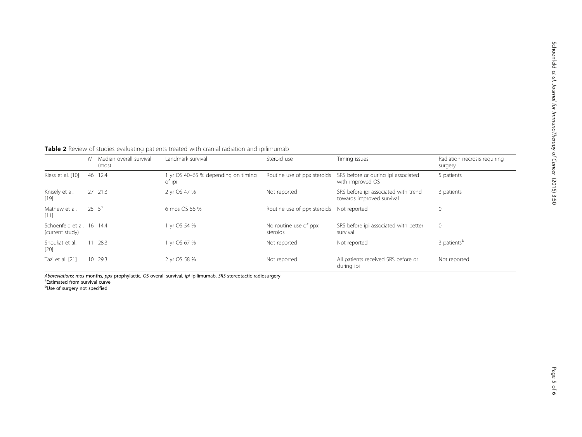<span id="page-4-0"></span>Table 2 Review of studies evaluating patients treated with cranial radiation and ipilimumab

|                                              | N  | Median overall survival<br>(mos) | Landmark survival                           | Steroid use                       | Timing issues                                                     | Radiation necrosis requiring<br>surgery |
|----------------------------------------------|----|----------------------------------|---------------------------------------------|-----------------------------------|-------------------------------------------------------------------|-----------------------------------------|
| Kiess et al. [10]                            | 46 | 12.4                             | yr OS 40-65 % depending on timing<br>of ipi | Routine use of ppx steroids       | SRS before or during ipi associated<br>with improved OS           | 5 patients                              |
| Knisely et al.<br>$[19]$                     |    | 27 21.3                          | 2 yr OS 47 %                                | Not reported                      | SRS before ipi associated with trend<br>towards improved survival | 3 patients                              |
| Mathew et al.<br>[11]                        |    | $25 \t 5^a$                      | 6 mos OS 56 %                               | Routine use of ppx steroids       | Not reported                                                      | $\mathbf 0$                             |
| Schoenfeld et al. 16 14.4<br>(current study) |    |                                  | vr OS 54 %                                  | No routine use of ppx<br>steroids | SRS before ipi associated with better<br>survival                 | $\overline{0}$                          |
| Shoukat et al.<br>$[20]$                     |    | 11 28.3                          | vr OS 67 %                                  | Not reported                      | Not reported                                                      | 3 patients <sup>b</sup>                 |
| Tazi et al. [21]                             |    | 10 29.3                          | 2 yr OS 58 %                                | Not reported                      | All patients received SRS before or<br>during ipi                 | Not reported                            |

Abbreviations: mos months, ppx prophylactic, OS overall survival, ipi ipilimumab, SRS stereotactic radiosurgery <sup>a</sup>

**Estimated from survival curve**<sup>a</sup>

<sup>b</sup>Use of surgery not specified